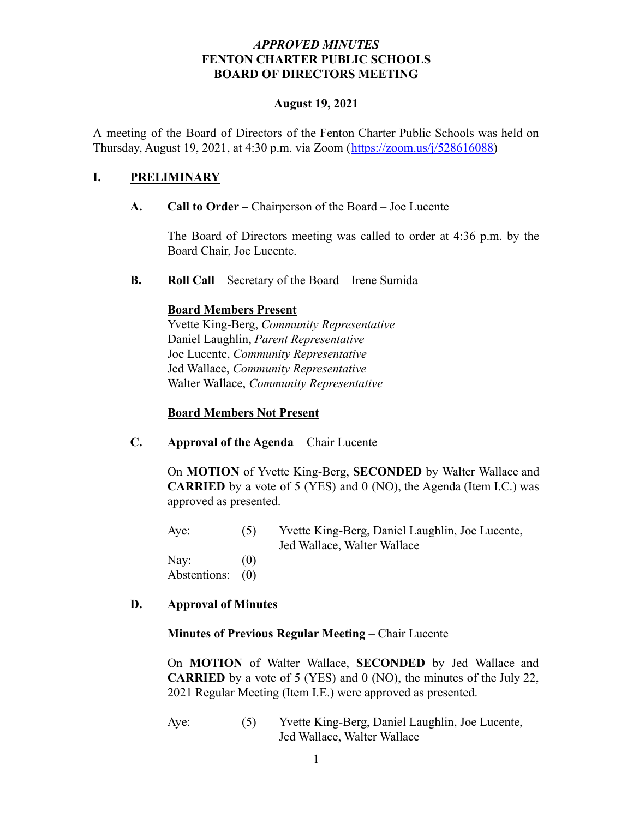#### *APPROVED MINUTES* **FENTON CHARTER PUBLIC SCHOOLS BOARD OF DIRECTORS MEETING**

#### **August 19, 2021**

A meeting of the Board of Directors of the Fenton Charter Public Schools was held on Thursday, August 19, 2021, at 4:30 p.m. via Zoom ([https://zoom.us/j/528616088\)](https://zoom.us/j/528616088)

### **I. PRELIMINARY**

**A. Call to Order –** Chairperson of the Board – Joe Lucente

The Board of Directors meeting was called to order at 4:36 p.m. by the Board Chair, Joe Lucente.

**B. Roll Call** – Secretary of the Board – Irene Sumida

#### **Board Members Present**

Yvette King-Berg, *Community Representative* Daniel Laughlin, *Parent Representative* Joe Lucente, *Community Representative* Jed Wallace, *Community Representative* Walter Wallace, *Community Representative*

#### **Board Members Not Present**

**C. Approval of the Agenda** – Chair Lucente

On **MOTION** of Yvette King-Berg, **SECONDED** by Walter Wallace and **CARRIED** by a vote of 5 (YES) and 0 (NO), the Agenda (Item I.C.) was approved as presented.

Aye: (5) Yvette King-Berg, Daniel Laughlin, Joe Lucente, Jed Wallace, Walter Wallace Nav:  $(0)$ 

Abstentions: (0)

## **D. Approval of Minutes**

#### **Minutes of Previous Regular Meeting** – Chair Lucente

On **MOTION** of Walter Wallace, **SECONDED** by Jed Wallace and **CARRIED** by a vote of 5 (YES) and 0 (NO), the minutes of the July 22, 2021 Regular Meeting (Item I.E.) were approved as presented.

Aye: (5) Yvette King-Berg, Daniel Laughlin, Joe Lucente, Jed Wallace, Walter Wallace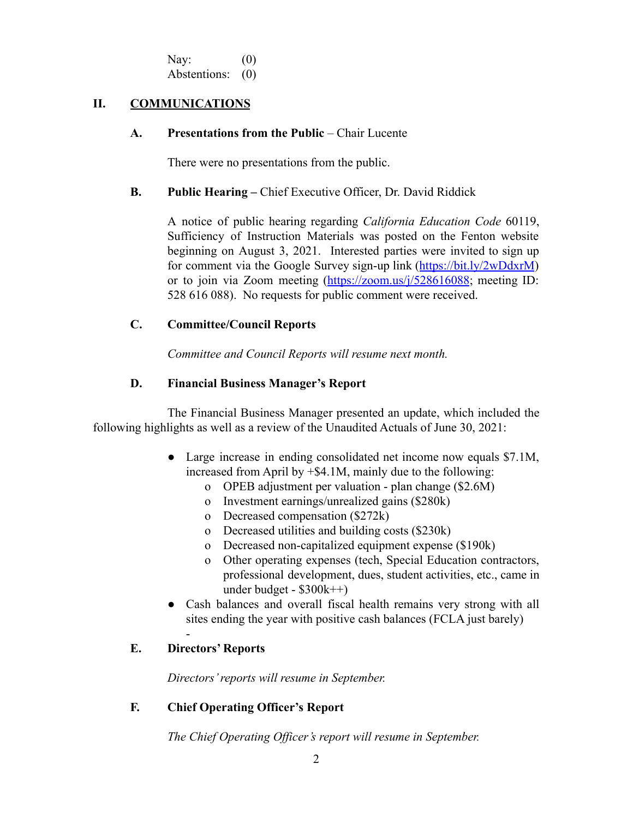Nav:  $(0)$ Abstentions: (0)

#### **II. COMMUNICATIONS**

#### **A. Presentations from the Public** – Chair Lucente

There were no presentations from the public.

#### **B. Public Hearing –** Chief Executive Officer, Dr. David Riddick

A notice of public hearing regarding *California Education Code* 60119, Sufficiency of Instruction Materials was posted on the Fenton website beginning on August 3, 2021. Interested parties were invited to sign up for comment via the Google Survey sign-up link (<https://bit.ly/2wDdxrM>) or to join via Zoom meeting (<https://zoom.us/j/528616088>; meeting ID: 528 616 088). No requests for public comment were received.

#### **C. Committee/Council Reports**

*Committee and Council Reports will resume next month.*

#### **D. Financial Business Manager's Report**

The Financial Business Manager presented an update, which included the following highlights as well as a review of the Unaudited Actuals of June 30, 2021:

- Large increase in ending consolidated net income now equals \$7.1M, increased from April by +\$4.1M, mainly due to the following:
	- o OPEB adjustment per valuation plan change (\$2.6M)
	- o Investment earnings/unrealized gains (\$280k)
	- o Decreased compensation (\$272k)
	- o Decreased utilities and building costs (\$230k)
	- o Decreased non-capitalized equipment expense (\$190k)
	- o Other operating expenses (tech, Special Education contractors, professional development, dues, student activities, etc., came in under budget - \$300k++)
- Cash balances and overall fiscal health remains very strong with all sites ending the year with positive cash balances (FCLA just barely)

## **E. Directors' Reports**

-

*Directors' reports will resume in September.*

## **F. Chief Operating Officer's Report**

*The Chief Operating Officer's report will resume in September.*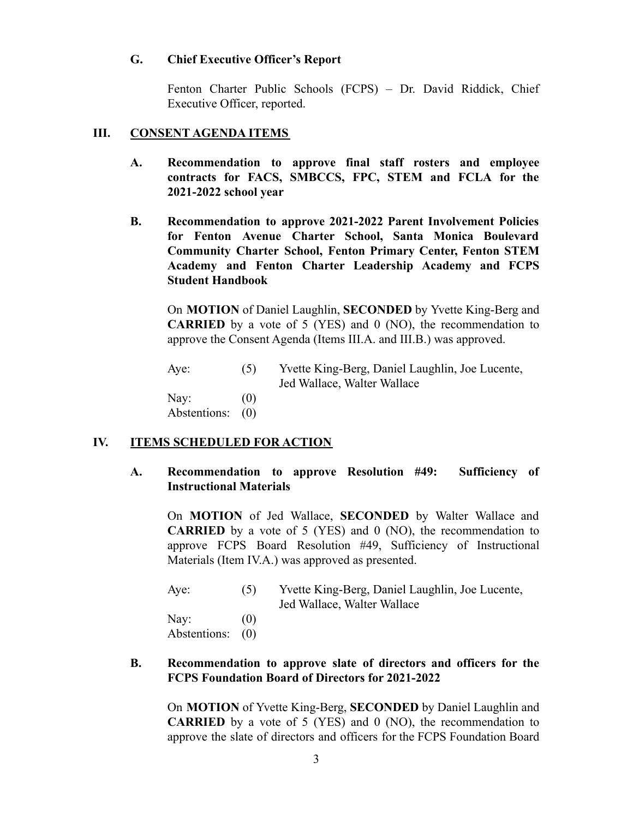#### **G. Chief Executive Officer's Report**

Fenton Charter Public Schools (FCPS) – Dr. David Riddick, Chief Executive Officer, reported.

#### **III. CONSENT AGENDA ITEMS**

- **A. Recommendation to approve final staff rosters and employee contracts for FACS, SMBCCS, FPC, STEM and FCLA for the 2021-2022 school year**
- **B. Recommendation to approve 2021-2022 Parent Involvement Policies for Fenton Avenue Charter School, Santa Monica Boulevard Community Charter School, Fenton Primary Center, Fenton STEM Academy and Fenton Charter Leadership Academy and FCPS Student Handbook**

On **MOTION** of Daniel Laughlin, **SECONDED** by Yvette King-Berg and **CARRIED** by a vote of 5 (YES) and 0 (NO), the recommendation to approve the Consent Agenda (Items III.A. and III.B.) was approved.

Aye: (5) Yvette King-Berg, Daniel Laughlin, Joe Lucente, Jed Wallace, Walter Wallace Nay:  $(0)$ Abstentions: (0)

## **IV. ITEMS SCHEDULED FOR ACTION**

#### **A. Recommendation to approve Resolution #49: Sufficiency of Instructional Materials**

On **MOTION** of Jed Wallace, **SECONDED** by Walter Wallace and **CARRIED** by a vote of 5 (YES) and 0 (NO), the recommendation to approve FCPS Board Resolution #49, Sufficiency of Instructional Materials (Item IV.A.) was approved as presented.

| Aye:                     | (5) | Yvette King-Berg, Daniel Laughlin, Joe Lucente,<br>Jed Wallace, Walter Wallace |
|--------------------------|-----|--------------------------------------------------------------------------------|
| Nay:<br>Abstentions: (0) | (0) |                                                                                |

#### **B. Recommendation to approve slate of directors and officers for the FCPS Foundation Board of Directors for 2021-2022**

On **MOTION** of Yvette King-Berg, **SECONDED** by Daniel Laughlin and **CARRIED** by a vote of 5 (YES) and 0 (NO), the recommendation to approve the slate of directors and officers for the FCPS Foundation Board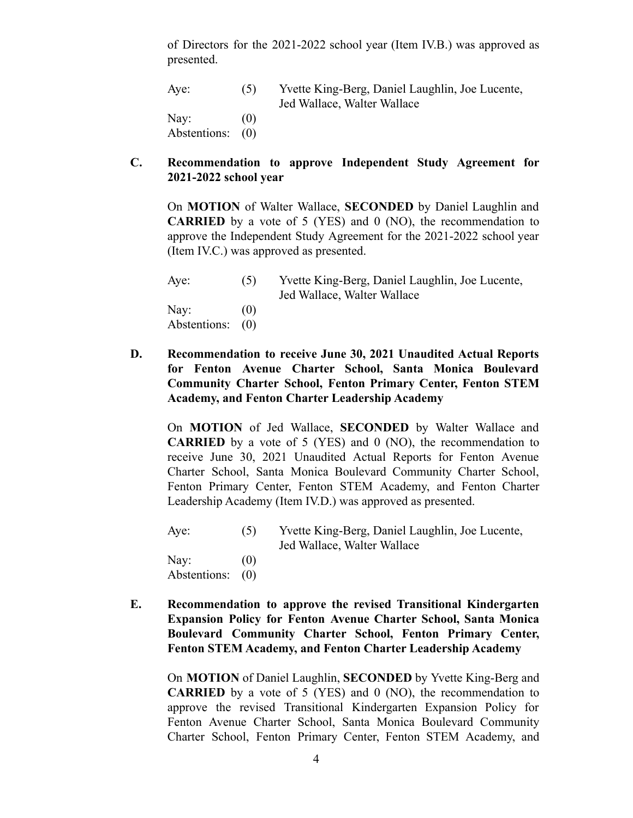of Directors for the 2021-2022 school year (Item IV.B.) was approved as presented.

| Aye:             | (5) | Yvette King-Berg, Daniel Laughlin, Joe Lucente, |
|------------------|-----|-------------------------------------------------|
|                  |     | Jed Wallace, Walter Wallace                     |
| Nay:             | (0) |                                                 |
| Abstentions: (0) |     |                                                 |

#### **C. Recommendation to approve Independent Study Agreement for 2021-2022 school year**

On **MOTION** of Walter Wallace, **SECONDED** by Daniel Laughlin and **CARRIED** by a vote of 5 (YES) and 0 (NO), the recommendation to approve the Independent Study Agreement for the 2021-2022 school year (Item IV.C.) was approved as presented.

| Aye:             | (5)               | Yvette King-Berg, Daniel Laughlin, Joe Lucente, |
|------------------|-------------------|-------------------------------------------------|
|                  |                   | Jed Wallace, Walter Wallace                     |
| Nay:             | $\left( 0\right)$ |                                                 |
| Abstentions: (0) |                   |                                                 |

**D. Recommendation to receive June 30, 2021 Unaudited Actual Reports for Fenton Avenue Charter School, Santa Monica Boulevard Community Charter School, Fenton Primary Center, Fenton STEM Academy, and Fenton Charter Leadership Academy**

On **MOTION** of Jed Wallace, **SECONDED** by Walter Wallace and **CARRIED** by a vote of 5 (YES) and 0 (NO), the recommendation to receive June 30, 2021 Unaudited Actual Reports for Fenton Avenue Charter School, Santa Monica Boulevard Community Charter School, Fenton Primary Center, Fenton STEM Academy, and Fenton Charter Leadership Academy (Item IV.D.) was approved as presented.

Aye: (5) Yvette King-Berg, Daniel Laughlin, Joe Lucente, Jed Wallace, Walter Wallace

Nav:  $(0)$ Abstentions: (0)

**E. Recommendation to approve the revised Transitional Kindergarten Expansion Policy for Fenton Avenue Charter School, Santa Monica Boulevard Community Charter School, Fenton Primary Center, Fenton STEM Academy, and Fenton Charter Leadership Academy**

On **MOTION** of Daniel Laughlin, **SECONDED** by Yvette King-Berg and **CARRIED** by a vote of 5 (YES) and 0 (NO), the recommendation to approve the revised Transitional Kindergarten Expansion Policy for Fenton Avenue Charter School, Santa Monica Boulevard Community Charter School, Fenton Primary Center, Fenton STEM Academy, and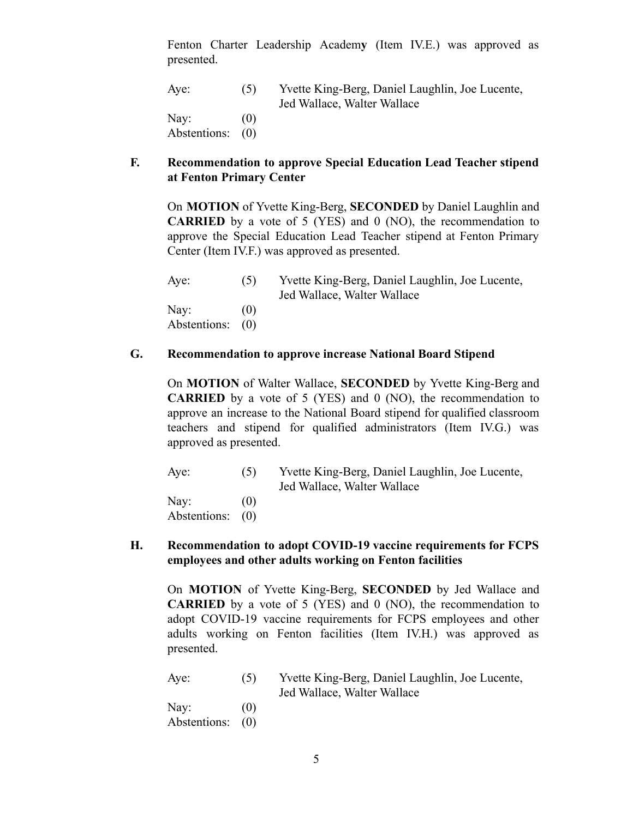Fenton Charter Leadership Academ**y** (Item IV.E.) was approved as presented.

| Aye:             | (5) | Yvette King-Berg, Daniel Laughlin, Joe Lucente, |
|------------------|-----|-------------------------------------------------|
|                  |     | Jed Wallace, Walter Wallace                     |
| Nay:             | (0) |                                                 |
| Abstentions: (0) |     |                                                 |

#### **F. Recommendation to approve Special Education Lead Teacher stipend at Fenton Primary Center**

On **MOTION** of Yvette King-Berg, **SECONDED** by Daniel Laughlin and **CARRIED** by a vote of 5 (YES) and 0 (NO), the recommendation to approve the Special Education Lead Teacher stipend at Fenton Primary Center (Item IV.F.) was approved as presented.

| Aye:                     | (5)               | Yvette King-Berg, Daniel Laughlin, Joe Lucente,<br>Jed Wallace, Walter Wallace |
|--------------------------|-------------------|--------------------------------------------------------------------------------|
| Nay:<br>Abstentions: (0) | $\left( 0\right)$ |                                                                                |

#### **G. Recommendation to approve increase National Board Stipend**

On **MOTION** of Walter Wallace, **SECONDED** by Yvette King-Berg and **CARRIED** by a vote of 5 (YES) and 0 (NO), the recommendation to approve an increase to the National Board stipend for qualified classroom teachers and stipend for qualified administrators (Item IV.G.) was approved as presented.

Aye: (5) Yvette King-Berg, Daniel Laughlin, Joe Lucente, Jed Wallace, Walter Wallace Nav:  $(0)$ Abstentions: (0)

### **H. Recommendation to adopt COVID-19 vaccine requirements for FCPS employees and other adults working on Fenton facilities**

On **MOTION** of Yvette King-Berg, **SECONDED** by Jed Wallace and **CARRIED** by a vote of 5 (YES) and 0 (NO), the recommendation to adopt COVID-19 vaccine requirements for FCPS employees and other adults working on Fenton facilities (Item IV.H.) was approved as presented.

| Aye: | (5) | Yvette King-Berg, Daniel Laughlin, Joe Lucente, |
|------|-----|-------------------------------------------------|
|      |     | Jed Wallace, Walter Wallace                     |
|      |     |                                                 |

Nay:  $(0)$ Abstentions: (0)